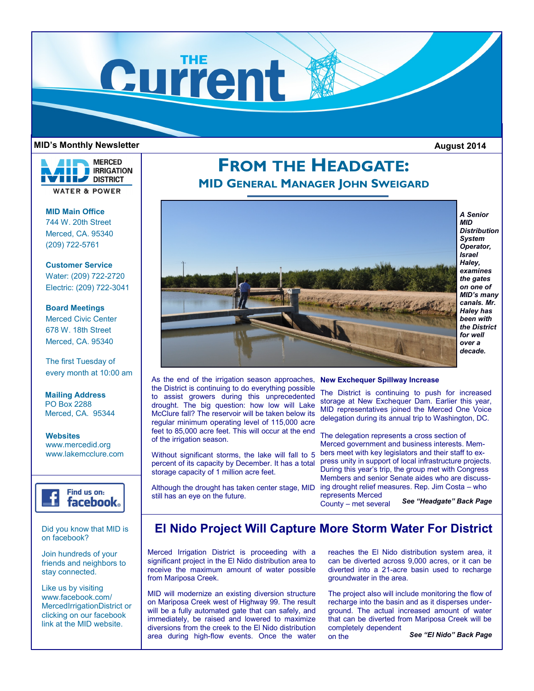

#### **MID's Monthly Newsletter August 2014**



**MID Main Office** 744 W. 20th Street Merced, CA. 95340 (209) 722-5761

**Customer Service** Water: (209) 722-2720 Electric: (209) 722-3041

**Board Meetings** Merced Civic Center 678 W. 18th Street Merced, CA. 95340

The first Tuesday of every month at 10:00 am

**Mailing Address** PO Box 2288 Merced, CA. 95344

**Websites** www.mercedid.org www.lakemcclure.com



Did you know that MID is on facebook?

Join hundreds of your friends and neighbors to stay connected.

Like us by visiting www.facebook.com/ MercedIrrigationDistrict or clicking on our facebook link at the MID website.

# **FROM THE HEADGATE: MID GENERAL MANAGER JOHN SWEIGARD**



*A Senior MID Distribution System Operator, Israel Haley, examines the gates on one of MID's many canals. Mr. Haley has been with the District for well over a decade.* 

As the end of the irrigation season approaches, **New Exchequer Spillway Increase** the District is continuing to do everything possible to assist growers during this unprecedented drought. The big question: how low will Lake McClure fall? The reservoir will be taken below its regular minimum operating level of 115,000 acre feet to 85,000 acre feet. This will occur at the end of the irrigation season.

Without significant storms, the lake will fall to 5 percent of its capacity by December. It has a total storage capacity of 1 million acre feet.

Although the drought has taken center stage, MID

still has an eye on the future.

The District is continuing to push for increased storage at New Exchequer Dam. Earlier this year, MID representatives joined the Merced One Voice delegation during its annual trip to Washington, DC.

The delegation represents a cross section of Merced government and business interests. Members meet with key legislators and their staff to express unity in support of local infrastructure projects. During this year's trip, the group met with Congress Members and senior Senate aides who are discussing drought relief measures. Rep. Jim Costa – who represents Merced

County – met several

*See "Headgate" Back Page*

## **El Nido Project Will Capture More Storm Water For District**

Merced Irrigation District is proceeding with a significant project in the El Nido distribution area to receive the maximum amount of water possible from Mariposa Creek.

MID will modernize an existing diversion structure on Mariposa Creek west of Highway 99. The result will be a fully automated gate that can safely, and immediately, be raised and lowered to maximize diversions from the creek to the El Nido distribution area during high-flow events. Once the water reaches the El Nido distribution system area, it can be diverted across 9,000 acres, or it can be diverted into a 21-acre basin used to recharge groundwater in the area.

The project also will include monitoring the flow of recharge into the basin and as it disperses underground. The actual increased amount of water that can be diverted from Mariposa Creek will be completely dependent on the

*See "El Nido" Back Page*